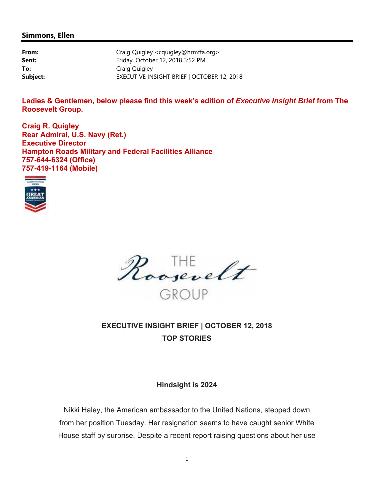#### **Simmons, Ellen**

| From:    | Craig Quigley <cquigley@hrmffa.org></cquigley@hrmffa.org> |
|----------|-----------------------------------------------------------|
| Sent:    | Friday, October 12, 2018 3:52 PM                          |
| To:      | Craig Quigley                                             |
| Subject: | EXECUTIVE INSIGHT BRIEF   OCTOBER 12, 2018                |

**Ladies & Gentlemen, below please find this week's edition of** *Executive Insight Brief* **from The Roosevelt Group.** 

**Craig R. Quigley Rear Admiral, U.S. Navy (Ret.) Executive Director Hampton Roads Military and Federal Facilities Alliance 757-644-6324 (Office) 757-419-1164 (Mobile)** 





# **EXECUTIVE INSIGHT BRIEF | OCTOBER 12, 2018 TOP STORIES**

#### **Hindsight is 2024**

Nikki Haley, the American ambassador to the United Nations, stepped down from her position Tuesday. Her resignation seems to have caught senior White House staff by surprise. Despite a recent report raising questions about her use

1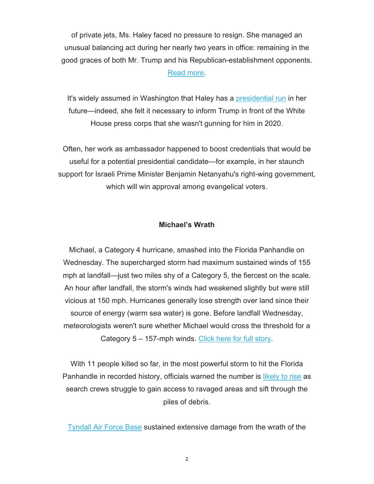of private jets, Ms. Haley faced no pressure to resign. She managed an unusual balancing act during her nearly two years in office: remaining in the good graces of both Mr. Trump and his Republican-establishment opponents. Read more.

It's widely assumed in Washington that Haley has a presidential run in her future—indeed, she felt it necessary to inform Trump in front of the White House press corps that she wasn't gunning for him in 2020.

Often, her work as ambassador happened to boost credentials that would be useful for a potential presidential candidate—for example, in her staunch support for Israeli Prime Minister Benjamin Netanyahu's right-wing government, which will win approval among evangelical voters.

#### **Michael's Wrath**

Michael, a Category 4 hurricane, smashed into the Florida Panhandle on Wednesday. The supercharged storm had maximum sustained winds of 155 mph at landfall—just two miles shy of a Category 5, the fiercest on the scale. An hour after landfall, the storm's winds had weakened slightly but were still vicious at 150 mph. Hurricanes generally lose strength over land since their source of energy (warm sea water) is gone. Before landfall Wednesday, meteorologists weren't sure whether Michael would cross the threshold for a Category 5 – 157-mph winds. Click here for full story.

With 11 people killed so far, in the most powerful storm to hit the Florida Panhandle in recorded history, officials warned the number is likely to rise as search crews struggle to gain access to ravaged areas and sift through the piles of debris.

Tyndall Air Force Base sustained extensive damage from the wrath of the

2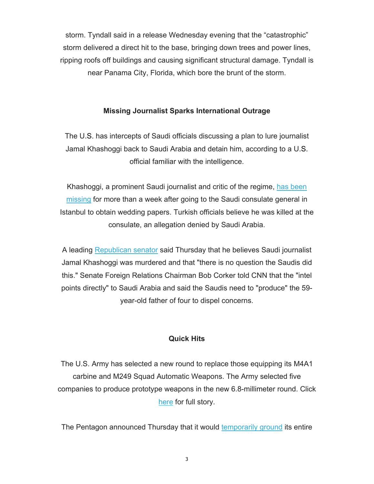storm. Tyndall said in a release Wednesday evening that the "catastrophic" storm delivered a direct hit to the base, bringing down trees and power lines, ripping roofs off buildings and causing significant structural damage. Tyndall is near Panama City, Florida, which bore the brunt of the storm.

### **Missing Journalist Sparks International Outrage**

The U.S. has intercepts of Saudi officials discussing a plan to lure journalist Jamal Khashoggi back to Saudi Arabia and detain him, according to a U.S. official familiar with the intelligence.

Khashoggi, a prominent Saudi journalist and critic of the regime, has been missing for more than a week after going to the Saudi consulate general in Istanbul to obtain wedding papers. Turkish officials believe he was killed at the consulate, an allegation denied by Saudi Arabia.

A leading Republican senator said Thursday that he believes Saudi journalist Jamal Khashoggi was murdered and that "there is no question the Saudis did this." Senate Foreign Relations Chairman Bob Corker told CNN that the "intel points directly" to Saudi Arabia and said the Saudis need to "produce" the 59 year-old father of four to dispel concerns.

### **Quick Hits**

The U.S. Army has selected a new round to replace those equipping its M4A1 carbine and M249 Squad Automatic Weapons. The Army selected five companies to produce prototype weapons in the new 6.8-millimeter round. Click here for full story.

The Pentagon announced Thursday that it would temporarily ground its entire

3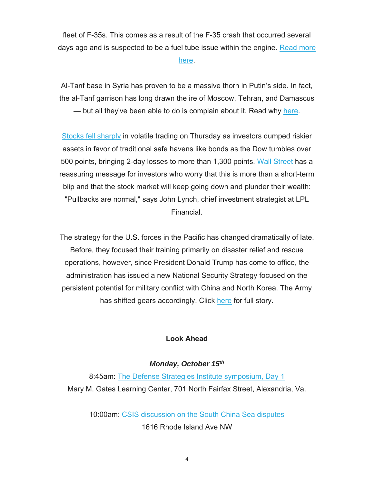fleet of F-35s. This comes as a result of the F-35 crash that occurred several days ago and is suspected to be a fuel tube issue within the engine. Read more

here.

Al-Tanf base in Syria has proven to be a massive thorn in Putin's side. In fact, the al-Tanf garrison has long drawn the ire of Moscow, Tehran, and Damascus

— but all they've been able to do is complain about it. Read why here.

Stocks fell sharply in volatile trading on Thursday as investors dumped riskier assets in favor of traditional safe havens like bonds as the Dow tumbles over 500 points, bringing 2-day losses to more than 1,300 points. Wall Street has a reassuring message for investors who worry that this is more than a short-term blip and that the stock market will keep going down and plunder their wealth: "Pullbacks are normal," says John Lynch, chief investment strategist at LPL Financial.

The strategy for the U.S. forces in the Pacific has changed dramatically of late. Before, they focused their training primarily on disaster relief and rescue operations, however, since President Donald Trump has come to office, the administration has issued a new National Security Strategy focused on the persistent potential for military conflict with China and North Korea. The Army has shifted gears accordingly. Click here for full story.

# **Look Ahead**

# *Monday, October 15th*

8:45am: The Defense Strategies Institute symposium, Day 1 Mary M. Gates Learning Center, 701 North Fairfax Street, Alexandria, Va.

10:00am: CSIS discussion on the South China Sea disputes 1616 Rhode Island Ave NW